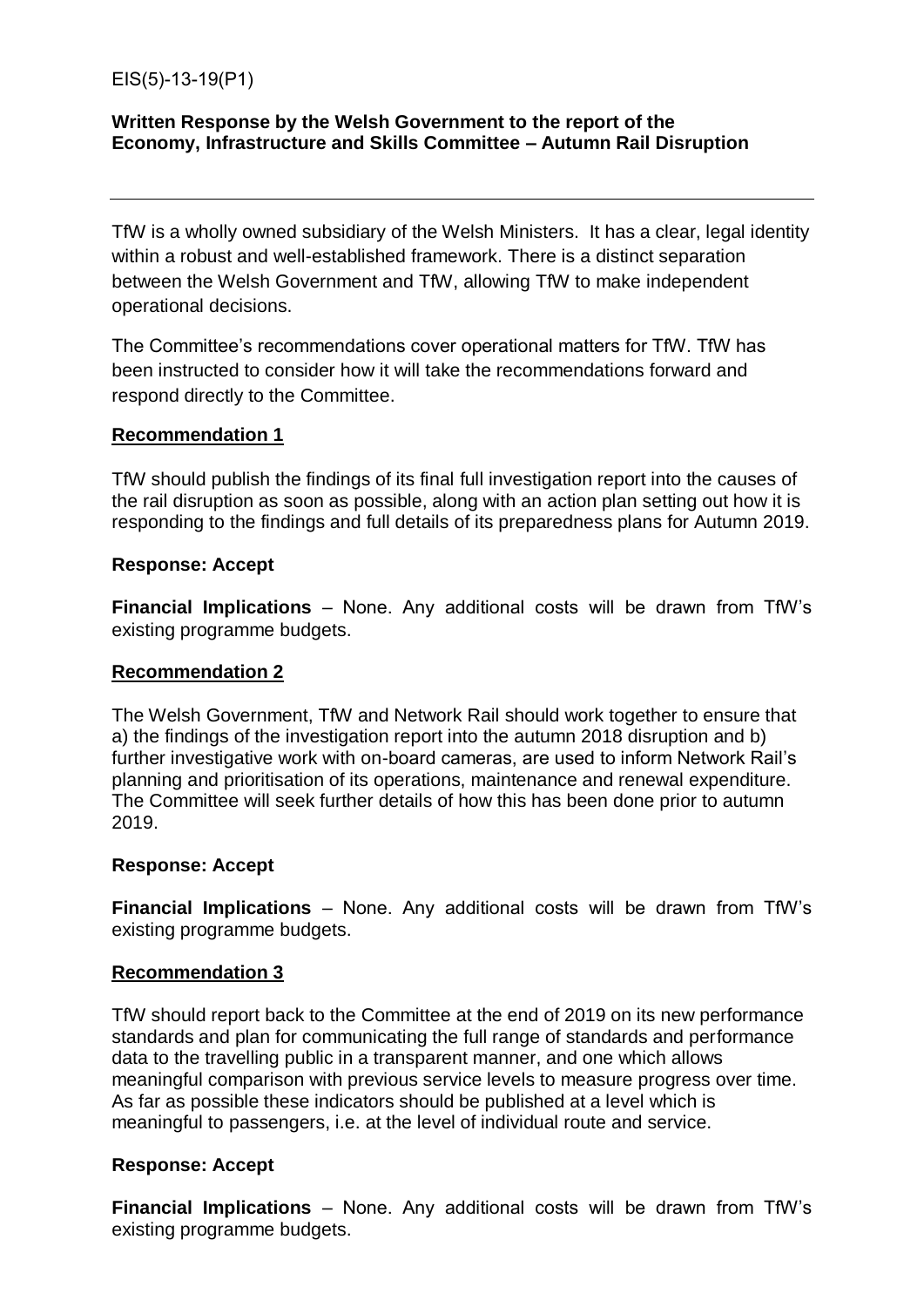EIS(5)-13-19(P1)

### **Written Response by the Welsh Government to the report of the Economy, Infrastructure and Skills Committee – Autumn Rail Disruption**

TfW is a wholly owned subsidiary of the Welsh Ministers. It has a clear, legal identity within a robust and well-established framework. There is a distinct separation between the Welsh Government and TfW, allowing TfW to make independent operational decisions.

The Committee's recommendations cover operational matters for TfW. TfW has been instructed to consider how it will take the recommendations forward and respond directly to the Committee.

### **Recommendation 1**

TfW should publish the findings of its final full investigation report into the causes of the rail disruption as soon as possible, along with an action plan setting out how it is responding to the findings and full details of its preparedness plans for Autumn 2019.

#### **Response: Accept**

**Financial Implications** – None. Any additional costs will be drawn from TfW's existing programme budgets.

### **Recommendation 2**

The Welsh Government, TfW and Network Rail should work together to ensure that a) the findings of the investigation report into the autumn 2018 disruption and b) further investigative work with on-board cameras, are used to inform Network Rail's planning and prioritisation of its operations, maintenance and renewal expenditure. The Committee will seek further details of how this has been done prior to autumn 2019.

#### **Response: Accept**

**Financial Implications** – None. Any additional costs will be drawn from TfW's existing programme budgets.

### **Recommendation 3**

TfW should report back to the Committee at the end of 2019 on its new performance standards and plan for communicating the full range of standards and performance data to the travelling public in a transparent manner, and one which allows meaningful comparison with previous service levels to measure progress over time. As far as possible these indicators should be published at a level which is meaningful to passengers, i.e. at the level of individual route and service.

### **Response: Accept**

**Financial Implications** – None. Any additional costs will be drawn from TfW's existing programme budgets.